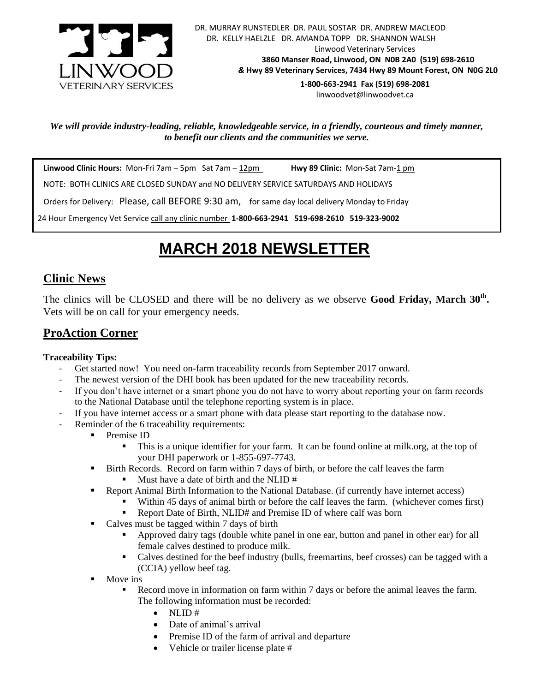

 DR. MURRAY RUNSTEDLER DR. PAUL SOSTAR DR. ANDREW MACLEOD DR. KELLY HAELZLE DR. AMANDA TOPP DR. SHANNON WALSH Linwood Veterinary Services **3860 Manser Road, Linwood, ON N0B 2A0 (519) 698-2610** *&* **Hwy 89 Veterinary Services, 7434 Hwy 89 Mount Forest, ON N0G 2L0 1-800-663-2941 Fax (519) 698-2081**

[linwoodvet@linwoodvet.ca](mailto:linwoodvet@linwoodvet.ca)

*We will provide industry-leading, reliable, knowledgeable service, in a friendly, courteous and timely manner, to benefit our clients and the communities we serve.*

**Linwood Clinic Hours:** Mon-Fri 7am – 5pm Sat 7am – 12pm **Hwy 89 Clinic:** Mon-Sat 7am-1 pm

NOTE: BOTH CLINICS ARE CLOSED SUNDAY and NO DELIVERY SERVICE SATURDAYS AND HOLIDAYS

Orders for Delivery: Please, call BEFORE 9:30 am,for same day local delivery Monday to Friday

24 Hour Emergency Vet Service call any clinic number **1-800-663-2941 519-698-2610 519-323-9002**

# *!* **MARCH 2018 NEWSLETTER**

## **Clinic News**

The clinics will be CLOSED and there will be no delivery as we observe **Good Friday, March 30th .** Vets will be on call for your emergency needs.

# **ProAction Corner**

#### **Traceability Tips:**

- Get started now! You need on-farm traceability records from September 2017 onward.
- The newest version of the DHI book has been updated for the new traceability records.
- If you don't have internet or a smart phone you do not have to worry about reporting your on farm records to the National Database until the telephone reporting system is in place.
- If you have internet access or a smart phone with data please start reporting to the database now.
- Reminder of the 6 traceability requirements:
	- Premise ID
		- This is a unique identifier for your farm. It can be found online at milk.org, at the top of your DHI paperwork or 1-855-697-7743.
	- Birth Records. Record on farm within 7 days of birth, or before the calf leaves the farm
		- Must have a date of birth and the NLID #
	- **•** Report Animal Birth Information to the National Database. (if currently have internet access)
		- Within 45 days of animal birth or before the calf leaves the farm. (whichever comes first)
			- Report Date of Birth, NLID# and Premise ID of where calf was born
	- Calves must be tagged within 7 days of birth
		- Approved dairy tags (double white panel in one ear, button and panel in other ear) for all female calves destined to produce milk.
		- Calves destined for the beef industry (bulls, freemartins, beef crosses) can be tagged with a (CCIA) yellow beef tag.
	- $\blacksquare$  Move ins
		- Record move in information on farm within 7 days or before the animal leaves the farm. The following information must be recorded:
			- $\bullet$  NLID#
			- Date of animal's arrival
			- Premise ID of the farm of arrival and departure
			- Vehicle or trailer license plate #